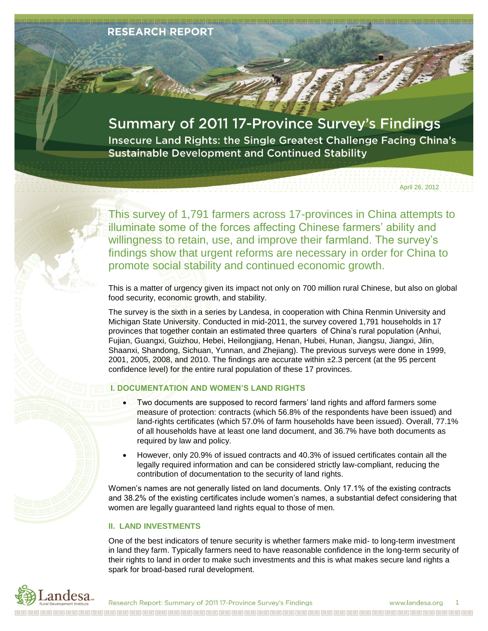

# **Summary of 2011 17-Province Survey's Findings**

Insecure Land Rights: the Single Greatest Challenge Facing China's **Sustainable Development and Continued Stability** 

April 26, 2012

This survey of 1,791 farmers across 17-provinces in China attempts to illuminate some of the forces affecting Chinese farmers' ability and willingness to retain, use, and improve their farmland. The survey's findings show that urgent reforms are necessary in order for China to promote social stability and continued economic growth.

This is a matter of urgency given its impact not only on 700 million rural Chinese, but also on global food security, economic growth, and stability.

The survey is the sixth in a series by Landesa, in cooperation with China Renmin University and Michigan State University. Conducted in mid-2011, the survey covered 1,791 households in 17 provinces that together contain an estimated three quarters of China's rural population (Anhui, Fujian, Guangxi, Guizhou, Hebei, Heilongjiang, Henan, Hubei, Hunan, Jiangsu, Jiangxi, Jilin, Shaanxi, Shandong, Sichuan, Yunnan, and Zhejiang). The previous surveys were done in 1999, 2001, 2005, 2008, and 2010. The findings are accurate within ±2.3 percent (at the 95 percent confidence level) for the entire rural population of these 17 provinces.

### **I. DOCUMENTATION AND WOMEN'S LAND RIGHTS**

- Two documents are supposed to record farmers' land rights and afford farmers some measure of protection: contracts (which 56.8% of the respondents have been issued) and land-rights certificates (which 57.0% of farm households have been issued). Overall, 77.1% of all households have at least one land document, and 36.7% have both documents as required by law and policy.
- However, only 20.9% of issued contracts and 40.3% of issued certificates contain all the legally required information and can be considered strictly law-compliant, reducing the contribution of documentation to the security of land rights.

Women's names are not generally listed on land documents. Only 17.1% of the existing contracts and 38.2% of the existing certificates include women's names, a substantial defect considering that women are legally guaranteed land rights equal to those of men.

### **II. LAND INVESTMENTS**

One of the best indicators of tenure security is whether farmers make mid- to long-term investment in land they farm. Typically farmers need to have reasonable confidence in the long-term security of their rights to land in order to make such investments and this is what makes secure land rights a spark for broad-based rural development.

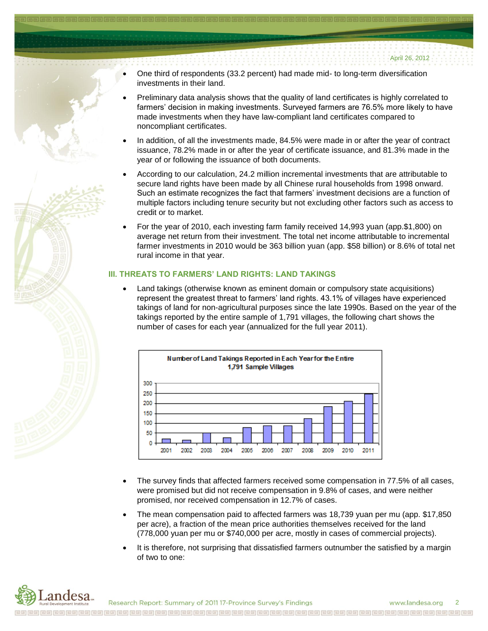- 
- One third of respondents (33.2 percent) had made mid- to long-term diversification investments in their land.
- Preliminary data analysis shows that the quality of land certificates is highly correlated to farmers' decision in making investments. Surveyed farmers are 76.5% more likely to have made investments when they have law-compliant land certificates compared to noncompliant certificates.
- In addition, of all the investments made, 84.5% were made in or after the year of contract issuance, 78.2% made in or after the year of certificate issuance, and 81.3% made in the year of or following the issuance of both documents.
- According to our calculation, 24.2 million incremental investments that are attributable to secure land rights have been made by all Chinese rural households from 1998 onward. Such an estimate recognizes the fact that farmers' investment decisions are a function of multiple factors including tenure security but not excluding other factors such as access to credit or to market.
- For the year of 2010, each investing farm family received 14,993 yuan (app.\$1,800) on average net return from their investment. The total net income attributable to incremental farmer investments in 2010 would be 363 billion yuan (app. \$58 billion) or 8.6% of total net rural income in that year.

### **III. THREATS TO FARMERS' LAND RIGHTS: LAND TAKINGS**

 Land takings (otherwise known as eminent domain or compulsory state acquisitions) represent the greatest threat to farmers' land rights. 43.1% of villages have experienced takings of land for non-agricultural purposes since the late 1990s. Based on the year of the takings reported by the entire sample of 1,791 villages, the following chart shows the number of cases for each year (annualized for the full year 2011).



- The survey finds that affected farmers received some compensation in 77.5% of all cases, were promised but did not receive compensation in 9.8% of cases, and were neither promised, nor received compensation in 12.7% of cases.
- The mean compensation paid to affected farmers was 18,739 yuan per mu (app. \$17,850 per acre), a fraction of the mean price authorities themselves received for the land (778,000 yuan per mu or \$740,000 per acre, mostly in cases of commercial projects).
- It is therefore, not surprising that dissatisfied farmers outnumber the satisfied by a margin of two to one: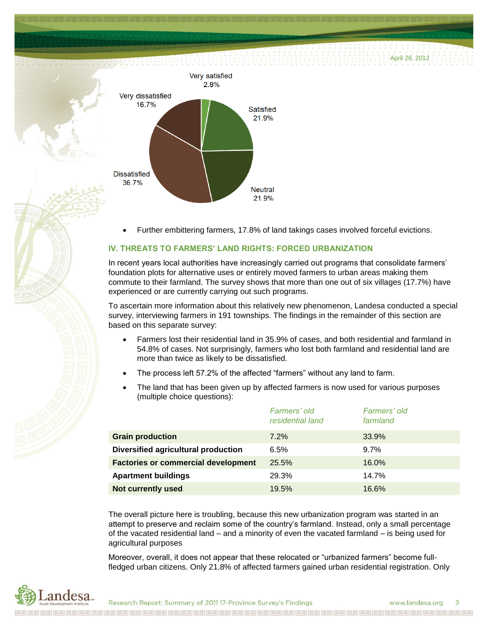April 26, 2012



Further embittering farmers, 17.8% of land takings cases involved forceful evictions.

## **IV. THREATS TO FARMERS' LAND RIGHTS: FORCED URBANIZATION**

In recent years local authorities have increasingly carried out programs that consolidate farmers' foundation plots for alternative uses or entirely moved farmers to urban areas making them commute to their farmland. The survey shows that more than one out of six villages (17.7%) have experienced or are currently carrying out such programs.

To ascertain more information about this relatively new phenomenon, Landesa conducted a special survey, interviewing farmers in 191 townships. The findings in the remainder of this section are based on this separate survey:

- Farmers lost their residential land in 35.9% of cases, and both residential and farmland in 54.8% of cases. Not surprisingly, farmers who lost both farmland and residential land are more than twice as likely to be dissatisfied.
- The process left 57.2% of the affected "farmers" without any land to farm.
- The land that has been given up by affected farmers is now used for various purposes (multiple choice questions):

|                                            | Farmers' old<br>residential land | Farmers' old<br>farmland |
|--------------------------------------------|----------------------------------|--------------------------|
| <b>Grain production</b>                    | 7.2%                             | 33.9%                    |
| Diversified agricultural production        | 6.5%                             | $9.7\%$                  |
| <b>Factories or commercial development</b> | 25.5%                            | 16.0%                    |
| <b>Apartment buildings</b>                 | 29.3%                            | 14.7%                    |
| <b>Not currently used</b>                  | 19.5%                            | 16.6%                    |

The overall picture here is troubling, because this new urbanization program was started in an attempt to preserve and reclaim some of the country's farmland. Instead, only a small percentage of the vacated residential land – and a minority of even the vacated farmland – is being used for agricultural purposes

Moreover, overall, it does not appear that these relocated or "urbanized farmers" become fullfledged urban citizens. Only 21.8% of affected farmers gained urban residential registration. Only